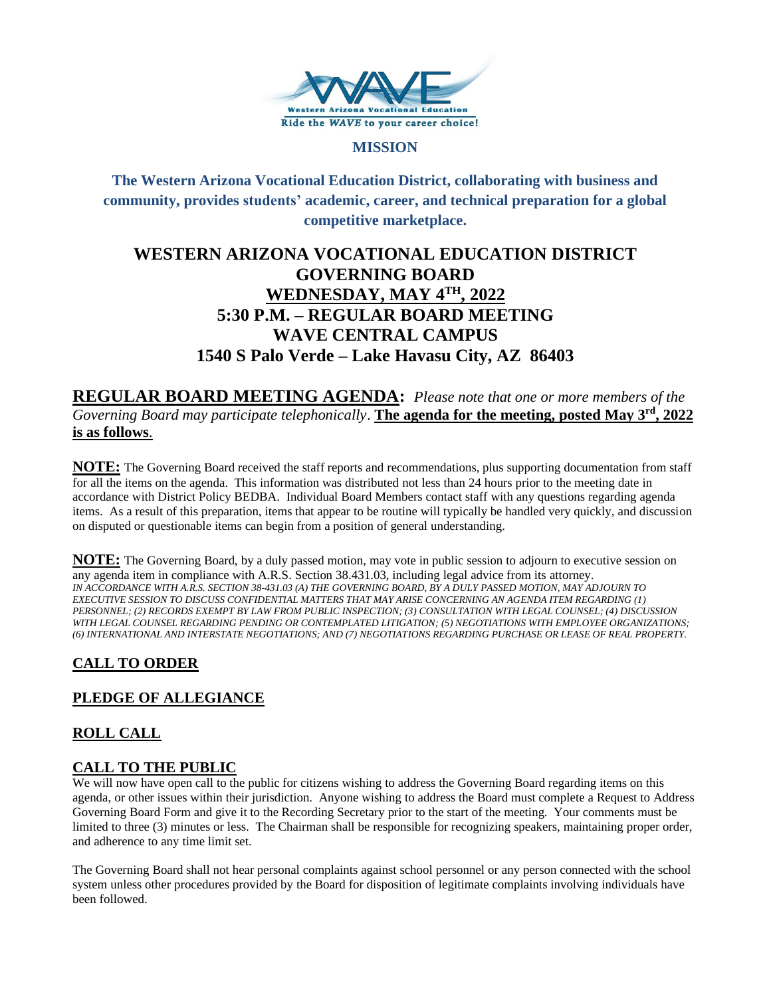

#### **MISSION**

**The Western Arizona Vocational Education District, collaborating with business and community, provides students' academic, career, and technical preparation for a global competitive marketplace.**

# **WESTERN ARIZONA VOCATIONAL EDUCATION DISTRICT GOVERNING BOARD WEDNESDAY, MAY 4TH , 2022 5:30 P.M. – REGULAR BOARD MEETING WAVE CENTRAL CAMPUS 1540 S Palo Verde – Lake Havasu City, AZ 86403**

**REGULAR BOARD MEETING AGENDA:** *Please note that one or more members of the Governing Board may participate telephonically*. **The agenda for the meeting, posted May 3rd , 2022 is as follows**.

**NOTE:** The Governing Board received the staff reports and recommendations, plus supporting documentation from staff for all the items on the agenda. This information was distributed not less than 24 hours prior to the meeting date in accordance with District Policy BEDBA. Individual Board Members contact staff with any questions regarding agenda items. As a result of this preparation, items that appear to be routine will typically be handled very quickly, and discussion on disputed or questionable items can begin from a position of general understanding.

**NOTE:** The Governing Board, by a duly passed motion, may vote in public session to adjourn to executive session on any agenda item in compliance with A.R.S. Section 38.431.03, including legal advice from its attorney. *IN ACCORDANCE WITH A.R.S. SECTION 38-431.03 (A) THE GOVERNING BOARD, BY A DULY PASSED MOTION, MAY ADJOURN TO EXECUTIVE SESSION TO DISCUSS CONFIDENTIAL MATTERS THAT MAY ARISE CONCERNING AN AGENDA ITEM REGARDING (1) PERSONNEL; (2) RECORDS EXEMPT BY LAW FROM PUBLIC INSPECTION; (3) CONSULTATION WITH LEGAL COUNSEL; (4) DISCUSSION WITH LEGAL COUNSEL REGARDING PENDING OR CONTEMPLATED LITIGATION; (5) NEGOTIATIONS WITH EMPLOYEE ORGANIZATIONS; (6) INTERNATIONAL AND INTERSTATE NEGOTIATIONS; AND (7) NEGOTIATIONS REGARDING PURCHASE OR LEASE OF REAL PROPERTY.*

# **CALL TO ORDER**

# **PLEDGE OF ALLEGIANCE**

# **ROLL CALL**

### **CALL TO THE PUBLIC**

We will now have open call to the public for citizens wishing to address the Governing Board regarding items on this agenda, or other issues within their jurisdiction. Anyone wishing to address the Board must complete a Request to Address Governing Board Form and give it to the Recording Secretary prior to the start of the meeting. Your comments must be limited to three (3) minutes or less. The Chairman shall be responsible for recognizing speakers, maintaining proper order, and adherence to any time limit set.

The Governing Board shall not hear personal complaints against school personnel or any person connected with the school system unless other procedures provided by the Board for disposition of legitimate complaints involving individuals have been followed.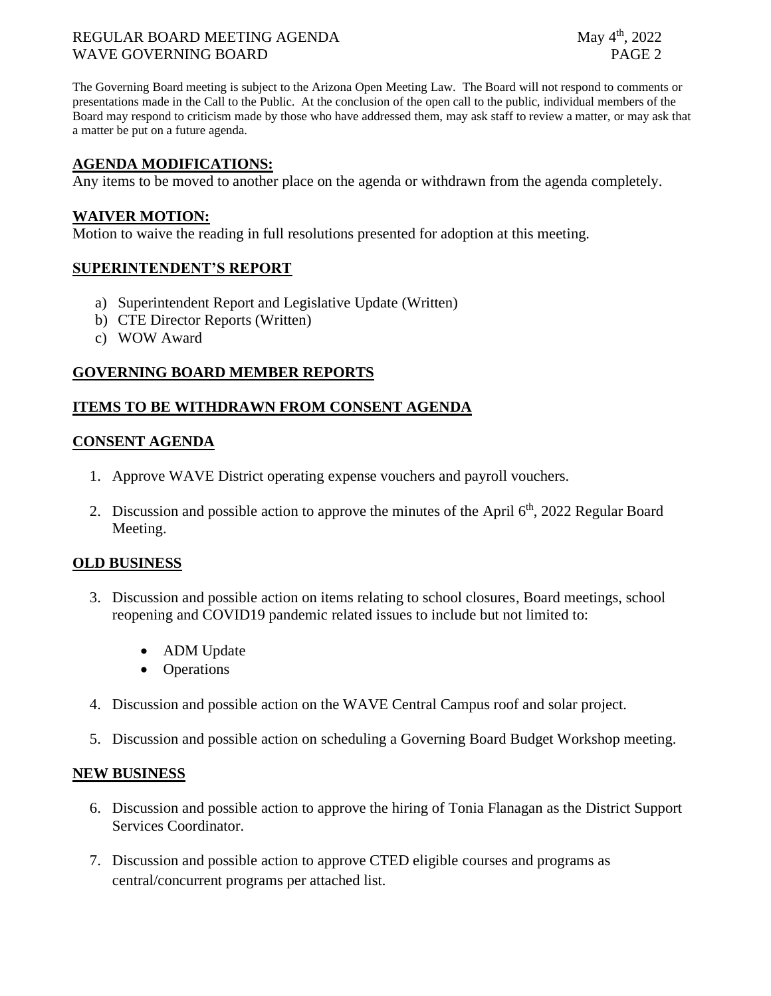### REGULAR BOARD MEETING AGENDA May 4<sup>th</sup>, 2022 WAVE GOVERNING BOARD **PAGE 2**

The Governing Board meeting is subject to the Arizona Open Meeting Law. The Board will not respond to comments or presentations made in the Call to the Public. At the conclusion of the open call to the public, individual members of the Board may respond to criticism made by those who have addressed them, may ask staff to review a matter, or may ask that a matter be put on a future agenda.

### **AGENDA MODIFICATIONS:**

Any items to be moved to another place on the agenda or withdrawn from the agenda completely.

#### **WAIVER MOTION:**

Motion to waive the reading in full resolutions presented for adoption at this meeting.

#### **SUPERINTENDENT'S REPORT**

- a) Superintendent Report and Legislative Update (Written)
- b) CTE Director Reports (Written)
- c) WOW Award

#### **GOVERNING BOARD MEMBER REPORTS**

#### **ITEMS TO BE WITHDRAWN FROM CONSENT AGENDA**

#### **CONSENT AGENDA**

- 1. Approve WAVE District operating expense vouchers and payroll vouchers.
- 2. Discussion and possible action to approve the minutes of the April  $6<sup>th</sup>$ , 2022 Regular Board Meeting.

#### **OLD BUSINESS**

- 3. Discussion and possible action on items relating to school closures, Board meetings, school reopening and COVID19 pandemic related issues to include but not limited to:
	- ADM Update
	- Operations
- 4. Discussion and possible action on the WAVE Central Campus roof and solar project.
- 5. Discussion and possible action on scheduling a Governing Board Budget Workshop meeting.

#### **NEW BUSINESS**

- 6. Discussion and possible action to approve the hiring of Tonia Flanagan as the District Support Services Coordinator.
- 7. Discussion and possible action to approve CTED eligible courses and programs as central/concurrent programs per attached list.